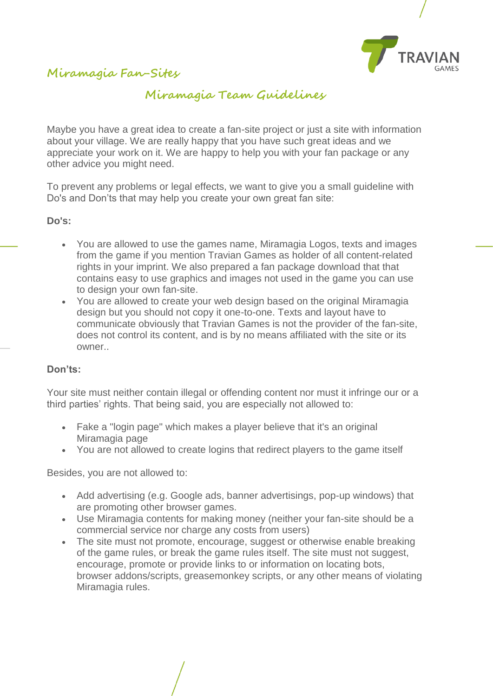

**Miramagia Fan-Sites**

## **Miramagia Team Guidelines**

Maybe you have a great idea to create a fan-site project or just a site with information about your village. We are really happy that you have such great ideas and we appreciate your work on it. We are happy to help you with your fan package or any other advice you might need.

To prevent any problems or legal effects, we want to give you a small guideline with Do's and Don'ts that may help you create your own great fan site:

**Do's:**

- You are allowed to use the games name, Miramagia Logos, texts and images from the game if you mention Travian Games as holder of all content-related rights in your imprint. We also prepared a fan package download that that contains easy to use graphics and images not used in the game you can use to design your own fan-site.
- You are allowed to create your web design based on the original Miramagia design but you should not copy it one-to-one. Texts and layout have to communicate obviously that Travian Games is not the provider of the fan-site, does not control its content, and is by no means affiliated with the site or its owner..

## **Don'ts:**

Your site must neither contain illegal or offending content nor must it infringe our or a third parties' rights. That being said, you are especially not allowed to:

- Fake a "login page" which makes a player believe that it's an original Miramagia page
- You are not allowed to create logins that redirect players to the game itself

Besides, you are not allowed to:

- Add advertising (e.g. Google ads, banner advertisings, pop-up windows) that are promoting other browser games.
- Use Miramagia contents for making money (neither your fan-site should be a commercial service nor charge any costs from users)
- The site must not promote, encourage, suggest or otherwise enable breaking of the game rules, or break the game rules itself. The site must not suggest, encourage, promote or provide links to or information on locating bots, browser addons/scripts, greasemonkey scripts, or any other means of violating Miramagia rules.